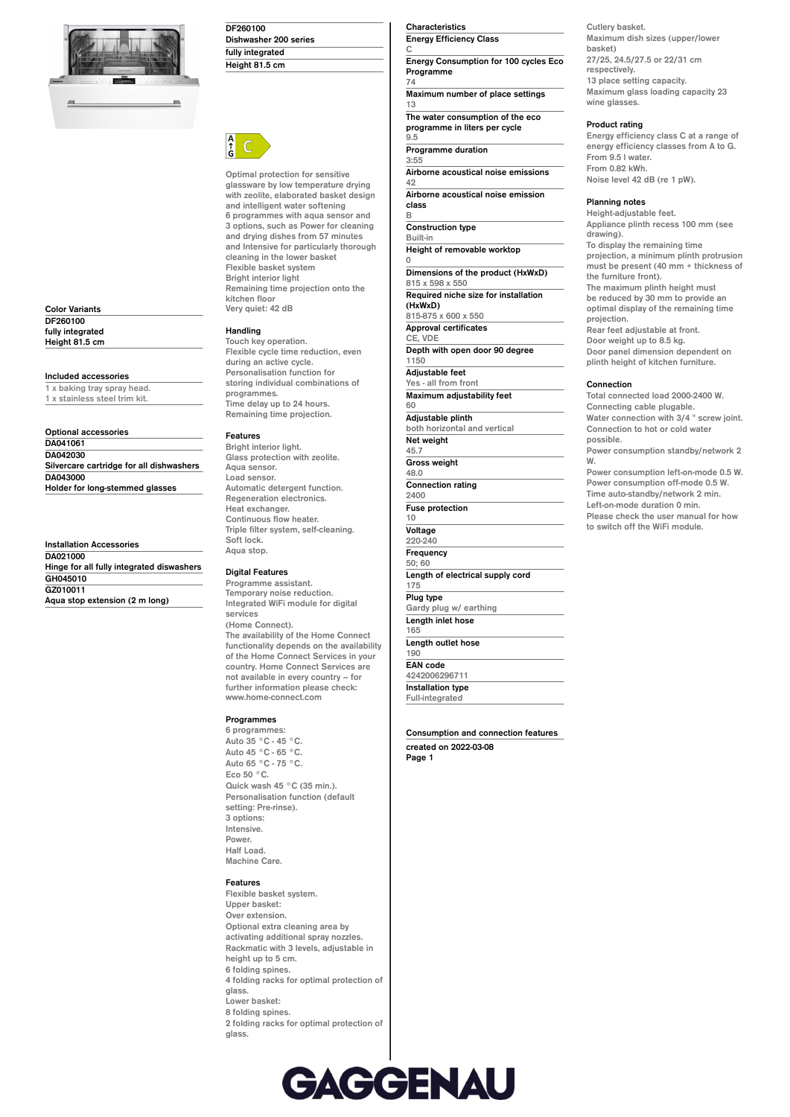

**Color Variants DF260100 fully integrated Height 81.5 cm**

### **Included accessories**

**1 x baking tray spray head. 1 x stainless steel trim kit.**

| Optional accessories                     |  |
|------------------------------------------|--|
| DA041061                                 |  |
| DA042030                                 |  |
| Silvercare cartridge for all dishwashers |  |
| DA043000                                 |  |
| Holder for long-stemmed glasses          |  |

#### **Installation Accessories DA021000**

**Hinge for all fully integrated diswashers GH045010 GZ010011 Aqua stop extension (2 m long)**

| DF260100              |  |
|-----------------------|--|
| Dishwasher 200 series |  |
| fully integrated      |  |
| Height 81.5 cm        |  |



**Optimal protection for sensitive glassware by low temperature drying with zeolite, elaborated basket design and intelligent water softening 6 programmes with aqua sensor and 3 options, such as Power for cleaning and drying dishes from 57 minutes and Intensive for particularly thorough cleaning in the lower basket Flexible basket system Bright interior light Remaining time projection onto the kitchen floor Very quiet: 42 dB**

## **Handling**

**Touch key operation. Flexible cycle time reduction, even during an active cycle. Personalisation function for storing individual combinations of programmes. Time delay up to 24 hours. Remaining time projection.**

### **Features**

**Bright interior light. Glass protection with zeolite. Aqua sensor. Load sensor. Automatic detergent function. Regeneration electronics. Heat exchanger. Continuous flow heater. Triple filter system, self-cleaning. Soft lock. Aqua stop.**

## **Digital Features**

**Programme assistant. Temporary noise reduction. Integrated WiFi module for digital services (Home Connect). The availability of the Home Connect functionality depends on the availability of the Home Connect Services in your country. Home Connect Services are not available in every country – for further information please check: www.home-connect.com**

## **Programmes**

**6 programmes: Auto 35 °C - 45 °C. Auto 45 °C - 65 °C. Auto 65 °C - 75 °C. Eco 50 °C. Quick wash 45 °C (35 min.). Personalisation function (default setting: Pre-rinse). 3 options: Intensive. Power. Half Load. Machine Care.**

### **Features**

**Flexible basket system. Upper basket: Over extension. Optional extra cleaning area by activating additional spray nozzles. Rackmatic with 3 levels, adjustable in height up to 5 cm. 6 folding spines. 4 folding racks for optimal protection of glass. Lower basket: 8 folding spines. 2 folding racks for optimal protection of glass.**

### **Characteristics Energy Efficiency Class**

**C Energy Consumption for 100 cycles Eco Programme**

**74 Maximum number of place settings 13 The water consumption of the eco**

**programme in liters per cycle 9.5**

**Programme duration 3:55**

**B**

**0**

**Airborne acoustical noise emissions 42**

**Airborne acoustical noise emission class**

**Construction type Built-in Height of removable worktop Dimensions of the product (HxWxD) 815 x 598 x 550**

**Required niche size for installation (HxWxD) 815-875 x 600 x 550**

**Approval certificates CE, VDE Depth with open door 90 degree 1150 Adjustable feet Yes - all from front Maximum adjustability feet 60 Adjustable plinth both horizontal and vertical Net weight 45.7 Gross weight 48.0 Connection rating 2400 Fuse protection 10 Voltage 220-240 Frequency 50; 60 Length of electrical supply cord 175 Plug type Gardy plug w/ earthing Length inlet hose 165 Length outlet hose 190**

**EAN code 4242006296711 Installation type Full-integrated**

**Consumption and connection features**

**created on 2022-03-08 Page 1**

**Cutlery basket. Maximum dish sizes (upper/lower basket) 27/25, 24.5/27.5 or 22/31 cm respectively. 13 place setting capacity. Maximum glass loading capacity 23 wine glasses.**

# **Product rating**

**Energy efficiency class C at a range of energy efficiency classes from A to G. From 9.5 l water. From 0.82 kWh. Noise level 42 dB (re 1 pW).**

### **Planning notes**

**Height-adjustable feet. Appliance plinth recess 100 mm (see drawing). To display the remaining time projection, a minimum plinth protrusion must be present (40 mm + thickness of the furniture front). The maximum plinth height must be reduced by 30 mm to provide an optimal display of the remaining time projection. Rear feet adjustable at front. Door weight up to 8.5 kg. Door panel dimension dependent on plinth height of kitchen furniture. Connection Total connected load 2000-2400 W. Connecting cable plugable. Water connection with 3/4 " screw joint. Connection to hot or cold water possible. Power consumption standby/network 2**

**W. Power consumption left-on-mode 0.5 W. Power consumption off-mode 0.5 W. Time auto-standby/network 2 min. Left-on-mode duration 0 min. Please check the user manual for how to switch off the WiFi module.**